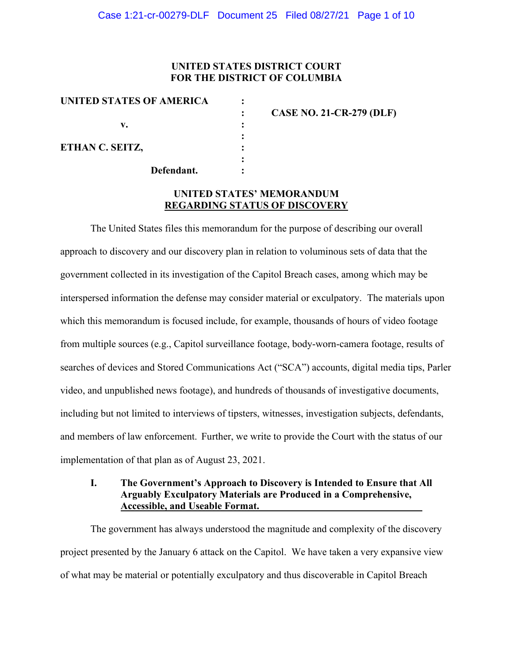# **UNITED STATES DISTRICT COURT FOR THE DISTRICT OF COLUMBIA**

| UNITED STATES OF AMERICA |                                 |
|--------------------------|---------------------------------|
|                          | <b>CASE NO. 21-CR-279 (DLF)</b> |
| v.                       |                                 |
|                          |                                 |
| ETHAN C. SEITZ,          |                                 |
|                          |                                 |
| Defendant.               |                                 |

# **UNITED STATES' MEMORANDUM REGARDING STATUS OF DISCOVERY**

The United States files this memorandum for the purpose of describing our overall approach to discovery and our discovery plan in relation to voluminous sets of data that the government collected in its investigation of the Capitol Breach cases, among which may be interspersed information the defense may consider material or exculpatory. The materials upon which this memorandum is focused include, for example, thousands of hours of video footage from multiple sources (e.g., Capitol surveillance footage, body-worn-camera footage, results of searches of devices and Stored Communications Act ("SCA") accounts, digital media tips, Parler video, and unpublished news footage), and hundreds of thousands of investigative documents, including but not limited to interviews of tipsters, witnesses, investigation subjects, defendants, and members of law enforcement. Further, we write to provide the Court with the status of our implementation of that plan as of August 23, 2021.

## **I. The Government's Approach to Discovery is Intended to Ensure that All Arguably Exculpatory Materials are Produced in a Comprehensive, Accessible, and Useable Format.**

The government has always understood the magnitude and complexity of the discovery project presented by the January 6 attack on the Capitol. We have taken a very expansive view of what may be material or potentially exculpatory and thus discoverable in Capitol Breach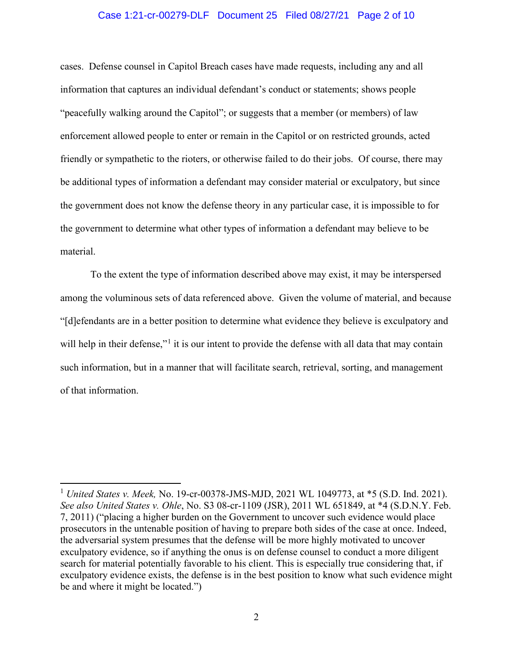#### Case 1:21-cr-00279-DLF Document 25 Filed 08/27/21 Page 2 of 10

cases. Defense counsel in Capitol Breach cases have made requests, including any and all information that captures an individual defendant's conduct or statements; shows people "peacefully walking around the Capitol"; or suggests that a member (or members) of law enforcement allowed people to enter or remain in the Capitol or on restricted grounds, acted friendly or sympathetic to the rioters, or otherwise failed to do their jobs. Of course, there may be additional types of information a defendant may consider material or exculpatory, but since the government does not know the defense theory in any particular case, it is impossible to for the government to determine what other types of information a defendant may believe to be material.

To the extent the type of information described above may exist, it may be interspersed among the voluminous sets of data referenced above. Given the volume of material, and because "[d]efendants are in a better position to determine what evidence they believe is exculpatory and will help in their defense,"<sup>1</sup> it is our intent to provide the defense with all data that may contain such information, but in a manner that will facilitate search, retrieval, sorting, and management of that information.

<sup>1</sup> *United States v. Meek,* No. 19-cr-00378-JMS-MJD, 2021 WL 1049773, at \*5 (S.D. Ind. 2021). *See also United States v. Ohle*, No. S3 08-cr-1109 (JSR), 2011 WL 651849, at \*4 (S.D.N.Y. Feb. 7, 2011) ("placing a higher burden on the Government to uncover such evidence would place prosecutors in the untenable position of having to prepare both sides of the case at once. Indeed, the adversarial system presumes that the defense will be more highly motivated to uncover exculpatory evidence, so if anything the onus is on defense counsel to conduct a more diligent search for material potentially favorable to his client. This is especially true considering that, if exculpatory evidence exists, the defense is in the best position to know what such evidence might be and where it might be located.")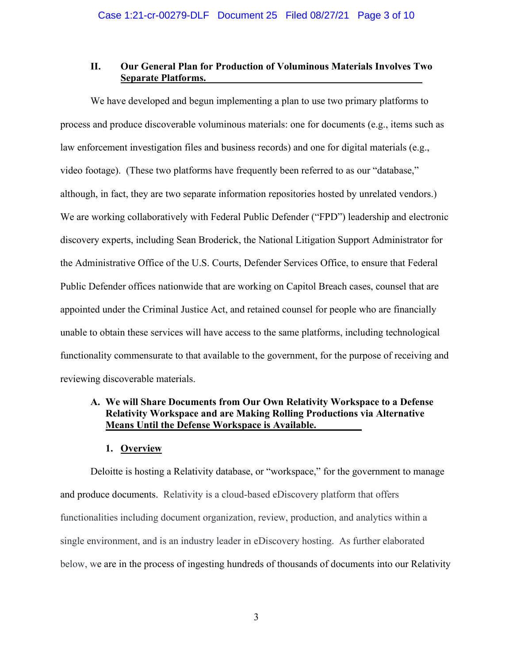## **II. Our General Plan for Production of Voluminous Materials Involves Two Separate Platforms.**

We have developed and begun implementing a plan to use two primary platforms to process and produce discoverable voluminous materials: one for documents (e.g., items such as law enforcement investigation files and business records) and one for digital materials (e.g., video footage). (These two platforms have frequently been referred to as our "database," although, in fact, they are two separate information repositories hosted by unrelated vendors.) We are working collaboratively with Federal Public Defender ("FPD") leadership and electronic discovery experts, including Sean Broderick, the National Litigation Support Administrator for the Administrative Office of the U.S. Courts, Defender Services Office, to ensure that Federal Public Defender offices nationwide that are working on Capitol Breach cases, counsel that are appointed under the Criminal Justice Act, and retained counsel for people who are financially unable to obtain these services will have access to the same platforms, including technological functionality commensurate to that available to the government, for the purpose of receiving and reviewing discoverable materials.

# **A. We will Share Documents from Our Own Relativity Workspace to a Defense Relativity Workspace and are Making Rolling Productions via Alternative Means Until the Defense Workspace is Available.**

## **1. Overview**

Deloitte is hosting a Relativity database, or "workspace," for the government to manage and produce documents. Relativity is a cloud-based eDiscovery platform that offers functionalities including document organization, review, production, and analytics within a single environment, and is an industry leader in eDiscovery hosting. As further elaborated below, we are in the process of ingesting hundreds of thousands of documents into our Relativity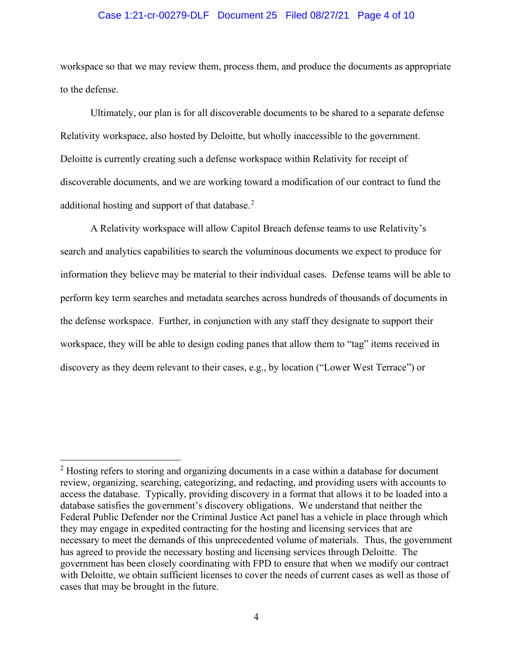#### Case 1:21-cr-00279-DLF Document 25 Filed 08/27/21 Page 4 of 10

workspace so that we may review them, process them, and produce the documents as appropriate to the defense.

Ultimately, our plan is for all discoverable documents to be shared to a separate defense Relativity workspace, also hosted by Deloitte, but wholly inaccessible to the government. Deloitte is currently creating such a defense workspace within Relativity for receipt of discoverable documents, and we are working toward a modification of our contract to fund the additional hosting and support of that database.<sup>2</sup>

A Relativity workspace will allow Capitol Breach defense teams to use Relativity's search and analytics capabilities to search the voluminous documents we expect to produce for information they believe may be material to their individual cases. Defense teams will be able to perform key term searches and metadata searches across hundreds of thousands of documents in the defense workspace. Further, in conjunction with any staff they designate to support their workspace, they will be able to design coding panes that allow them to "tag" items received in discovery as they deem relevant to their cases, e.g., by location ("Lower West Terrace") or

<sup>&</sup>lt;sup>2</sup> Hosting refers to storing and organizing documents in a case within a database for document review, organizing, searching, categorizing, and redacting, and providing users with accounts to access the database. Typically, providing discovery in a format that allows it to be loaded into a database satisfies the government's discovery obligations. We understand that neither the Federal Public Defender nor the Criminal Justice Act panel has a vehicle in place through which they may engage in expedited contracting for the hosting and licensing services that are necessary to meet the demands of this unprecedented volume of materials. Thus, the government has agreed to provide the necessary hosting and licensing services through Deloitte. The government has been closely coordinating with FPD to ensure that when we modify our contract with Deloitte, we obtain sufficient licenses to cover the needs of current cases as well as those of cases that may be brought in the future.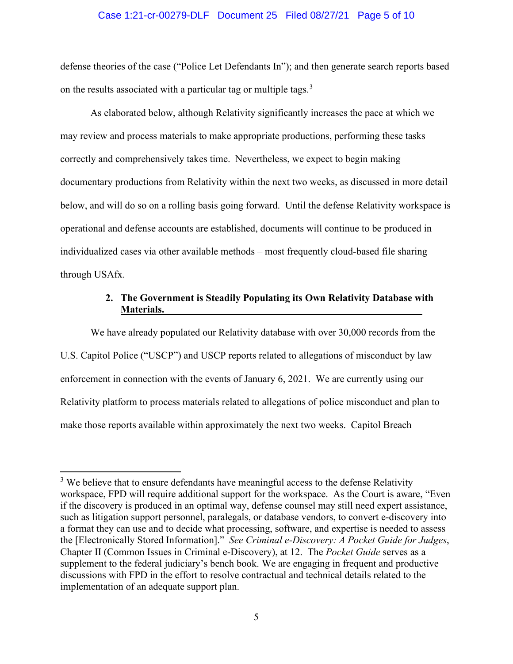#### Case 1:21-cr-00279-DLF Document 25 Filed 08/27/21 Page 5 of 10

defense theories of the case ("Police Let Defendants In"); and then generate search reports based on the results associated with a particular tag or multiple tags.<sup>3</sup>

As elaborated below, although Relativity significantly increases the pace at which we may review and process materials to make appropriate productions, performing these tasks correctly and comprehensively takes time. Nevertheless, we expect to begin making documentary productions from Relativity within the next two weeks, as discussed in more detail below, and will do so on a rolling basis going forward. Until the defense Relativity workspace is operational and defense accounts are established, documents will continue to be produced in individualized cases via other available methods – most frequently cloud-based file sharing through USAfx.

# **2. The Government is Steadily Populating its Own Relativity Database with Materials.**

We have already populated our Relativity database with over 30,000 records from the U.S. Capitol Police ("USCP") and USCP reports related to allegations of misconduct by law enforcement in connection with the events of January 6, 2021. We are currently using our Relativity platform to process materials related to allegations of police misconduct and plan to make those reports available within approximately the next two weeks. Capitol Breach

 $3$  We believe that to ensure defendants have meaningful access to the defense Relativity workspace, FPD will require additional support for the workspace. As the Court is aware, "Even if the discovery is produced in an optimal way, defense counsel may still need expert assistance, such as litigation support personnel, paralegals, or database vendors, to convert e-discovery into a format they can use and to decide what processing, software, and expertise is needed to assess the [Electronically Stored Information]." *See Criminal e-Discovery: A Pocket Guide for Judges*, Chapter II (Common Issues in Criminal e-Discovery), at 12.The *Pocket Guide* serves as a supplement to the federal judiciary's bench book. We are engaging in frequent and productive discussions with FPD in the effort to resolve contractual and technical details related to the implementation of an adequate support plan.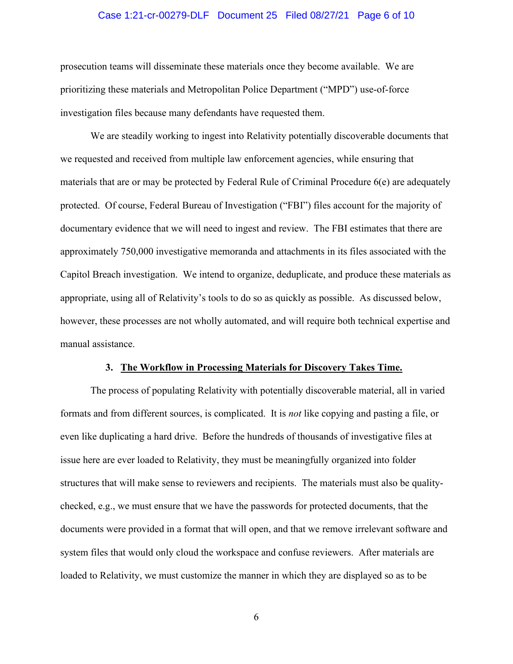#### Case 1:21-cr-00279-DLF Document 25 Filed 08/27/21 Page 6 of 10

prosecution teams will disseminate these materials once they become available. We are prioritizing these materials and Metropolitan Police Department ("MPD") use-of-force investigation files because many defendants have requested them.

We are steadily working to ingest into Relativity potentially discoverable documents that we requested and received from multiple law enforcement agencies, while ensuring that materials that are or may be protected by Federal Rule of Criminal Procedure 6(e) are adequately protected. Of course, Federal Bureau of Investigation ("FBI") files account for the majority of documentary evidence that we will need to ingest and review. The FBI estimates that there are approximately 750,000 investigative memoranda and attachments in its files associated with the Capitol Breach investigation. We intend to organize, deduplicate, and produce these materials as appropriate, using all of Relativity's tools to do so as quickly as possible. As discussed below, however, these processes are not wholly automated, and will require both technical expertise and manual assistance.

#### **3. The Workflow in Processing Materials for Discovery Takes Time.**

The process of populating Relativity with potentially discoverable material, all in varied formats and from different sources, is complicated. It is *not* like copying and pasting a file, or even like duplicating a hard drive. Before the hundreds of thousands of investigative files at issue here are ever loaded to Relativity, they must be meaningfully organized into folder structures that will make sense to reviewers and recipients. The materials must also be qualitychecked, e.g., we must ensure that we have the passwords for protected documents, that the documents were provided in a format that will open, and that we remove irrelevant software and system files that would only cloud the workspace and confuse reviewers. After materials are loaded to Relativity, we must customize the manner in which they are displayed so as to be

6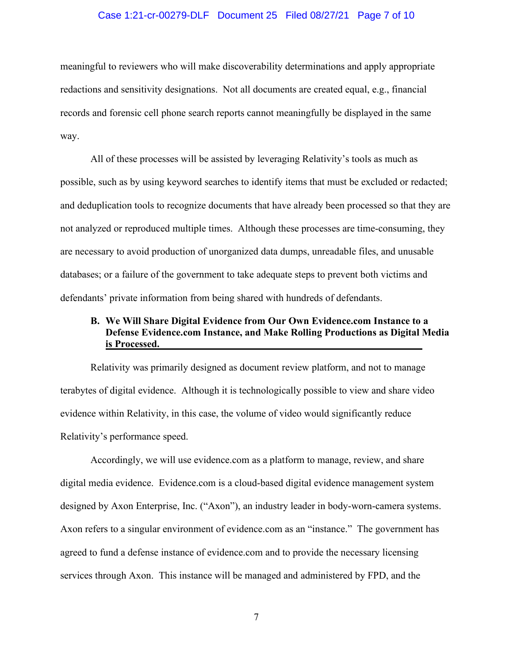#### Case 1:21-cr-00279-DLF Document 25 Filed 08/27/21 Page 7 of 10

meaningful to reviewers who will make discoverability determinations and apply appropriate redactions and sensitivity designations. Not all documents are created equal, e.g., financial records and forensic cell phone search reports cannot meaningfully be displayed in the same way.

All of these processes will be assisted by leveraging Relativity's tools as much as possible, such as by using keyword searches to identify items that must be excluded or redacted; and deduplication tools to recognize documents that have already been processed so that they are not analyzed or reproduced multiple times. Although these processes are time-consuming, they are necessary to avoid production of unorganized data dumps, unreadable files, and unusable databases; or a failure of the government to take adequate steps to prevent both victims and defendants' private information from being shared with hundreds of defendants.

# **B. We Will Share Digital Evidence from Our Own Evidence.com Instance to a Defense Evidence.com Instance, and Make Rolling Productions as Digital Media is Processed.**

Relativity was primarily designed as document review platform, and not to manage terabytes of digital evidence. Although it is technologically possible to view and share video evidence within Relativity, in this case, the volume of video would significantly reduce Relativity's performance speed.

Accordingly, we will use evidence.com as a platform to manage, review, and share digital media evidence. Evidence.com is a cloud-based digital evidence management system designed by Axon Enterprise, Inc. ("Axon"), an industry leader in body-worn-camera systems. Axon refers to a singular environment of evidence.com as an "instance." The government has agreed to fund a defense instance of evidence.com and to provide the necessary licensing services through Axon. This instance will be managed and administered by FPD, and the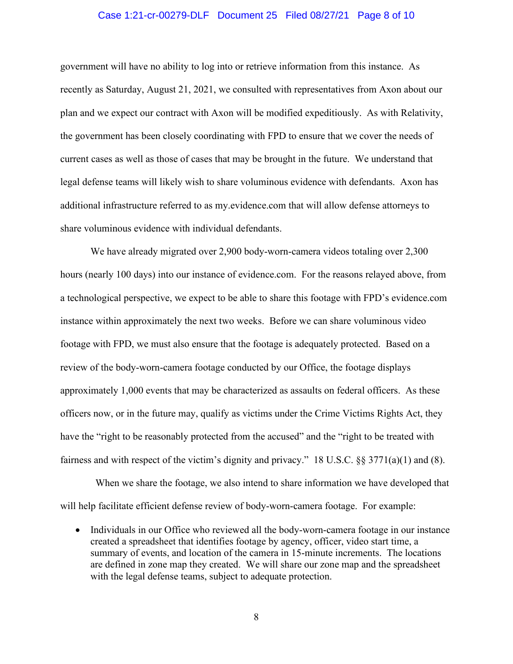#### Case 1:21-cr-00279-DLF Document 25 Filed 08/27/21 Page 8 of 10

government will have no ability to log into or retrieve information from this instance. As recently as Saturday, August 21, 2021, we consulted with representatives from Axon about our plan and we expect our contract with Axon will be modified expeditiously. As with Relativity, the government has been closely coordinating with FPD to ensure that we cover the needs of current cases as well as those of cases that may be brought in the future. We understand that legal defense teams will likely wish to share voluminous evidence with defendants. Axon has additional infrastructure referred to as my.evidence.com that will allow defense attorneys to share voluminous evidence with individual defendants.

We have already migrated over 2,900 body-worn-camera videos totaling over 2,300 hours (nearly 100 days) into our instance of evidence.com. For the reasons relayed above, from a technological perspective, we expect to be able to share this footage with FPD's evidence.com instance within approximately the next two weeks. Before we can share voluminous video footage with FPD, we must also ensure that the footage is adequately protected. Based on a review of the body-worn-camera footage conducted by our Office, the footage displays approximately 1,000 events that may be characterized as assaults on federal officers. As these officers now, or in the future may, qualify as victims under the Crime Victims Rights Act, they have the "right to be reasonably protected from the accused" and the "right to be treated with fairness and with respect of the victim's dignity and privacy." 18 U.S.C. §§ 3771(a)(1) and (8).

 When we share the footage, we also intend to share information we have developed that will help facilitate efficient defense review of body-worn-camera footage. For example:

• Individuals in our Office who reviewed all the body-worn-camera footage in our instance created a spreadsheet that identifies footage by agency, officer, video start time, a summary of events, and location of the camera in 15-minute increments. The locations are defined in zone map they created. We will share our zone map and the spreadsheet with the legal defense teams, subject to adequate protection.

8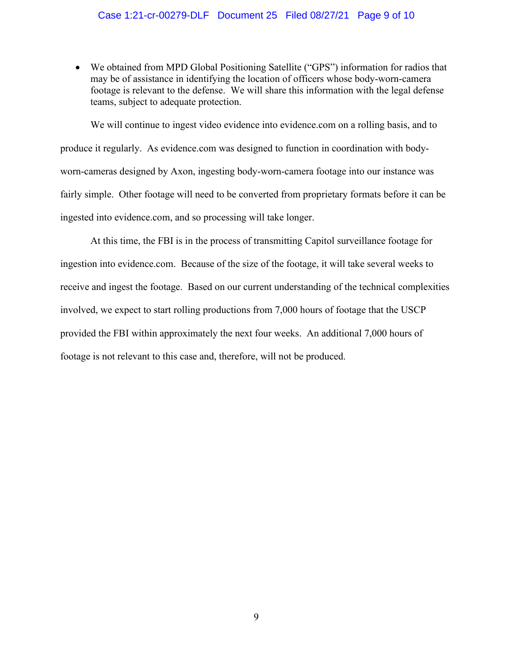## Case 1:21-cr-00279-DLF Document 25 Filed 08/27/21 Page 9 of 10

• We obtained from MPD Global Positioning Satellite ("GPS") information for radios that may be of assistance in identifying the location of officers whose body-worn-camera footage is relevant to the defense. We will share this information with the legal defense teams, subject to adequate protection.

We will continue to ingest video evidence into evidence.com on a rolling basis, and to produce it regularly. As evidence.com was designed to function in coordination with bodyworn-cameras designed by Axon, ingesting body-worn-camera footage into our instance was fairly simple. Other footage will need to be converted from proprietary formats before it can be ingested into evidence.com, and so processing will take longer.

At this time, the FBI is in the process of transmitting Capitol surveillance footage for ingestion into evidence.com. Because of the size of the footage, it will take several weeks to receive and ingest the footage. Based on our current understanding of the technical complexities involved, we expect to start rolling productions from 7,000 hours of footage that the USCP provided the FBI within approximately the next four weeks. An additional 7,000 hours of footage is not relevant to this case and, therefore, will not be produced.